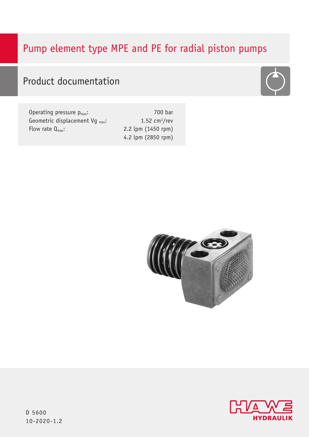# Pump element type MPE and PE for radial piston pumps



|  | <b>Product documentation</b> |
|--|------------------------------|
|--|------------------------------|

| Operating pressure $p_{max}$ :       | 700 bar            |
|--------------------------------------|--------------------|
| Geometric displacement Vq $_{max}$ : | 1.52 $cm3/rev$     |
| Flow rate $Q_{\text{max}}$ :         | 2.2 lpm (1450 rpm) |
|                                      | 4.2 lpm (2850 rpm) |





D 5600 10-2020-1.2 10-2020-1.2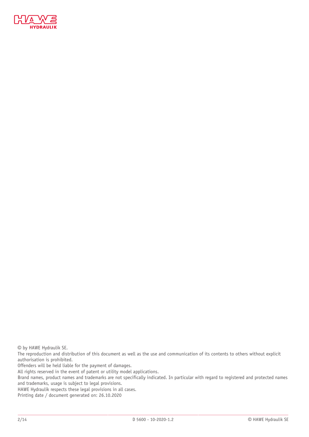

© by HAWE Hydraulik SE.

The reproduction and distribution of this document as well as the use and communication of its contents to others without explicit authorisation is prohibited.

Offenders will be held liable for the payment of damages.

All rights reserved in the event of patent or utility model applications.

Brand names, product names and trademarks are not specifically indicated. In particular with regard to registered and protected names and trademarks, usage is subject to legal provisions.

HAWE Hydraulik respects these legal provisions in all cases.

Printing date / document generated on: 26.10.2020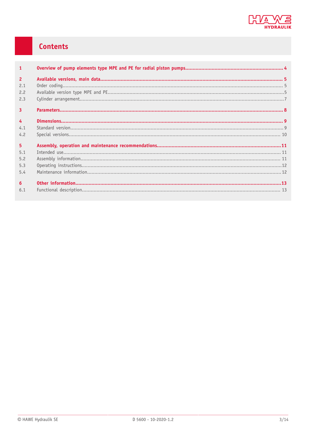

# Contents

| $\mathbf{1}$                               |  |
|--------------------------------------------|--|
| $\overline{2}$<br>2.1<br>2.2<br>2.3        |  |
| $\overline{3}$                             |  |
| $\overline{4}$<br>4.1<br>4.2               |  |
| 5 <sup>1</sup><br>5.1<br>5.2<br>5.3<br>5.4 |  |
| $6\overline{6}$<br>6.1                     |  |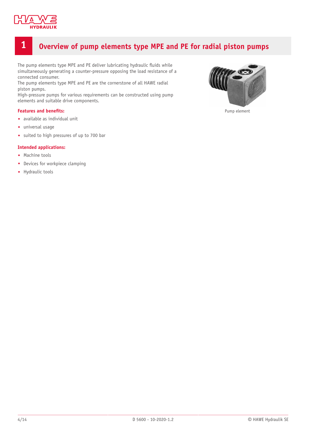

## <span id="page-3-0"></span>**1 Overview of pump elements type MPE and PE for radial piston pumps**

The pump elements type MPE and PE deliver lubricating hydraulic fluids while simultaneously generating a counter-pressure opposing the load resistance of a connected consumer.

The pump elements type MPE and PE are the cornerstone of all HAWE radial piston pumps.

High-pressure pumps for various requirements can be constructed using pump elements and suitable drive components.

#### **Features** and **benefits:**

- available as individual unit
- universal usage
- suited to high pressures of up to 700 bar

#### **Intended applications:**

- Machine tools
- Devices for workpiece clamping
- Hydraulic tools



Pump element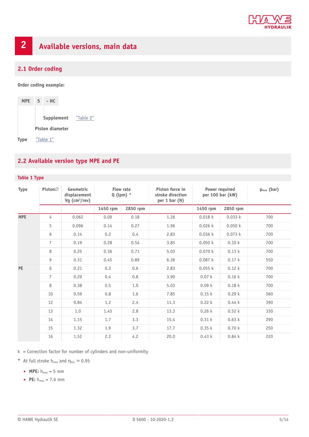

# <span id="page-4-0"></span>**2 Available versions, main data**

### <span id="page-4-1"></span>**2.1 Order coding**

**Order coding example:**

| <b>MPE</b>  | 5 <sub>1</sub> | – HC                   |           |
|-------------|----------------|------------------------|-----------|
|             |                | Supplement             | "Table 2" |
|             |                | <b>Piston diameter</b> |           |
| <b>Type</b> |                | "Table 1"              |           |

### <span id="page-4-2"></span>**2.2 Available version type MPE and PE**

#### <span id="page-4-3"></span>**Table 1 Type**

| <b>Type</b> | Piston $\varnothing$ | Geometric<br>displacement<br>Vg $(cm3/rev)$ | <b>Flow rate</b><br>$Q$ (lpm) $*$ |          | Piston force in<br>stroke direction<br>per $1 bar(N)$ | Power required<br>per 100 bar (kW) | $p_{max}$ (bar) |     |
|-------------|----------------------|---------------------------------------------|-----------------------------------|----------|-------------------------------------------------------|------------------------------------|-----------------|-----|
|             |                      |                                             | 1450 rpm                          | 2850 rpm |                                                       | 1450 rpm                           | 2850 rpm        |     |
| <b>MPE</b>  | 4                    | 0.062                                       | 0.09                              | 0.18     | 1.26                                                  | 0.018k                             | 0.033 k         | 700 |
|             | 5                    | 0.096                                       | 0.14                              | 0.27     | 1.96                                                  | 0.026k                             | 0.050 k         | 700 |
|             | 6                    | 0.14                                        | 0.2                               | 0.4      | 2.83                                                  | 0.036k                             | 0.073 k         | 700 |
|             | $\overline{7}$       | 0.19                                        | 0.28                              | 0.54     | 3.85                                                  | 0.050k                             | 0.10k           | 700 |
|             | 8                    | 0.25                                        | 0.36                              | 0.71     | 5.03                                                  | 0.070 k                            | 0.13k           | 700 |
|             | 9                    | 0.31                                        | 0.45                              | 0.89     | 6.36                                                  | 0.087k                             | 0.17k           | 550 |
| <b>PE</b>   | 6                    | 0.21                                        | 0.3                               | 0.6      | 2.83                                                  | 0.055 k                            | 0.12k           | 700 |
|             | $\overline{7}$       | 0.29                                        | 0.4                               | 0.8      | 3.90                                                  | 0.07k                              | 0.16k           | 700 |
|             | 8                    | 0.38                                        | 0.5                               | 1.0      | 5.03                                                  | 0.09k                              | 0.18k           | 700 |
|             | 10                   | 0.59                                        | 0.8                               | 1.6      | 7.85                                                  | 0.15k                              | 0.29k           | 560 |
|             | 12                   | 0.84                                        | 1.2                               | 2.4      | 11.3                                                  | 0.22k                              | 0.44k           | 390 |
|             | 13                   | 1.0                                         | 1.45                              | 2.8      | 13.3                                                  | 0.26k                              | 0.52k           | 330 |
|             | 14                   | 1.15                                        | 1.7                               | 3.3      | 15.4                                                  | 0.31k                              | 0.63k           | 290 |
|             | 15                   | 1.32                                        | 1.9                               | 3.7      | 17.7                                                  | 0.35k                              | 0.70k           | 250 |
|             | 16                   | 1.52                                        | 2.2                               | 4.2      | 20.0                                                  | 0.43k                              | 0.84k           | 220 |

 $k =$  Correction factor for number of cylinders and non-uniformity

- **\*** At full stroke  $h_{max}$  and  $\eta_{vol.} \approx 0.95$ 
	- $MPE: h_{max} = 5$  mm
	- **• PE:**  $h_{max} = 7.6$  mm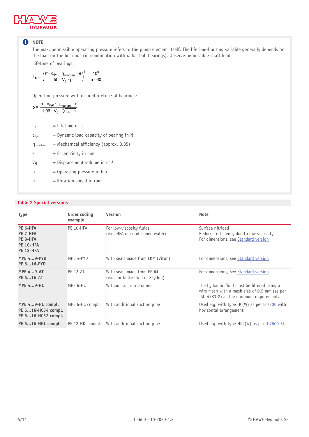

### **O** NOTE

The max. permissible operating pressure refers to the pump element itself. The lifetime-limiting variable generally depends on the load on the bearings (in combination with radial ball bearings). Observe permissible shaft load. Lifetime of bearings:

$$
L_h = \left( \frac{\pi \cdot c_{dyn} \cdot \eta_{mechan} \cdot e}{50 \cdot V_g \cdot p} \right)^3 \, \cdot \, \frac{10^6}{n \cdot 60}
$$

Operating pressure with desired lifetime of bearings:

$$
p = \frac{\pi \cdot c_{\text{dyn}} \cdot \eta_{\text{mechan}} \cdot e}{1.96 \cdot V_g \cdot \sqrt[3]{L_h \cdot n}}
$$

 $L_h$  = Lifetime in h

| $C_{dyn.}$   | $=$ Dynamic load capacity of bearing in N  |
|--------------|--------------------------------------------|
| n<br>mechan. | $=$ Mechanical efficiency (approx. 0.85)   |
| e            | $=$ Eccentricity in mm                     |
| Vq           | $=$ Displacement volume in cm <sup>3</sup> |
| р            | $=$ Operating pressure in bar              |
| n            | $=$ Rotation speed in rpm                  |
|              |                                            |

#### <span id="page-5-0"></span>**Table 2 Special versions**

| <b>Type</b>                                                              | Order coding<br><b>Version</b><br>example |                                                                | <b>Note</b>                                                                                                                             |  |  |  |  |
|--------------------------------------------------------------------------|-------------------------------------------|----------------------------------------------------------------|-----------------------------------------------------------------------------------------------------------------------------------------|--|--|--|--|
| PE 6-HFA<br>PE 7-HFA<br>PE 8-HFA<br><b>PE 10-HFA</b><br><b>PE 12-HFA</b> | PE 10-HFA                                 | For low-viscosity fluids<br>(e.g. HFA or conditioned water)    | Surface nitrided<br>Reduced efficiency due to low viscosity<br>For dimensions, see Standard version                                     |  |  |  |  |
| <b>MPE 49-PYD</b><br>PE 616-PYD                                          | MPE 4-PYD                                 | With seals made from FKM (Viton)                               | For dimensions, see Standard version                                                                                                    |  |  |  |  |
| <b>MPE 49-AT</b><br>PE 616-AT                                            | <b>PE 12-AT</b>                           | With seals made from EPDM<br>(e.g. for brake fluid or Skydrol) | For dimensions, see Standard version                                                                                                    |  |  |  |  |
| <b>MPE 49-HC</b>                                                         | MPE 6-HC                                  | Without suction strainer                                       | The hydraulic fluid must be filtered using a<br>wire mesh with a mesh size of 0.5 mm (as per<br>ISO 4783-2) as the minimum requirement. |  |  |  |  |
| MPE 49-HC compl.<br>PE 616-HC34 compl.<br>PE 616-HC32 compl.             | MPE 6-HC compl.                           | With additional suction pipe                                   | Used e.g. with type $HC(W)$ as per D 7900 with<br>horizontal arrangement                                                                |  |  |  |  |
| PE 616-HKL compl.                                                        | PE 12-HKL compl.                          | With additional suction pipe                                   | Used e.g. with type $HKL(W)$ as per D 7600-3L                                                                                           |  |  |  |  |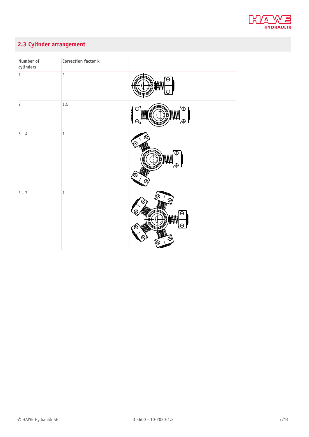

## <span id="page-6-0"></span>**2.3 Cylinder arrangement**

| Number of<br>cylinders | Correction factor k |             |
|------------------------|---------------------|-------------|
| $\,1$                  | $\overline{3}$      | Æ<br>₩      |
| $\overline{c}$         | $1.5\,$             | $\pm$       |
| $3 - 4$                | $\,1\,$             | Ŧ<br>e<br>⊗ |
| $5 - 7$                | $\,1\,$             |             |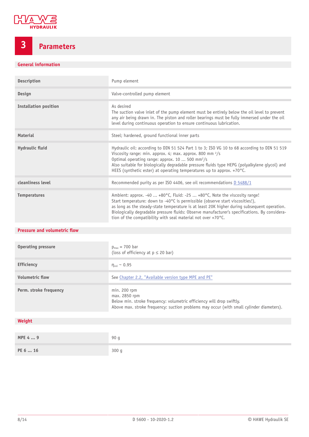

# <span id="page-7-0"></span>**3 Parameters**

### **General information**

| Description                  | Pump element                                                                                                                                                                                                                                                                                                                                                                                                                                             |
|------------------------------|----------------------------------------------------------------------------------------------------------------------------------------------------------------------------------------------------------------------------------------------------------------------------------------------------------------------------------------------------------------------------------------------------------------------------------------------------------|
| Design                       | Valve-controlled pump element                                                                                                                                                                                                                                                                                                                                                                                                                            |
| <b>Installation position</b> | As desired<br>The suction valve inlet of the pump element must be entirely below the oil level to prevent<br>any air being drawn in. The piston and roller bearings must be fully immersed under the oil<br>level during continuous operation to ensure continuous lubrication.                                                                                                                                                                          |
| <b>Material</b>              | Steel; hardened, ground functional inner parts                                                                                                                                                                                                                                                                                                                                                                                                           |
| Hydraulic fluid              | Hydraulic oil: according to DIN 51 524 Part 1 to 3; ISO VG 10 to 68 according to DIN 51 519<br>Viscosity range: min. approx. 4; max. approx. 800 mm $\frac{2}{s}$<br>Optimal operating range: approx. 10  500 mm <sup>2</sup> /s<br>Also suitable for biologically degradable pressure fluids type HEPG (polyalkylene glycol) and<br>HEES (synthetic ester) at operating temperatures up to approx. +70°C.                                               |
| cleanliness level            | Recommended purity as per ISO 4406, see oil recommendations D 5488/1                                                                                                                                                                                                                                                                                                                                                                                     |
| <b>Temperatures</b>          | Ambient: approx. -40  +80 $\degree$ C, Fluid: -25  +80 $\degree$ C, Note the viscosity range!<br>Start temperature: down to -40°C is permissible (observe start viscosities!),<br>as long as the steady-state temperature is at least 20K higher during subsequent operation.<br>Biologically degradable pressure fluids: Observe manufacturer's specifications. By considera-<br>tion of the compatibility with seal material not over $+70^{\circ}$ C. |

#### **Pressure and volumetric flow**

| <b>Operating pressure</b> | $p_{max}$ = 700 bar<br>(loss of efficiency at $p \le 20$ bar)                                                                                                                                        |
|---------------------------|------------------------------------------------------------------------------------------------------------------------------------------------------------------------------------------------------|
| <b>Efficiency</b>         | $\eta_{\text{vol}} \sim 0.95$                                                                                                                                                                        |
| <b>Volumetric flow</b>    | See Chapter 2.2, "Available version type MPE and PE"                                                                                                                                                 |
| Perm. stroke frequency    | $min. 200$ rpm<br>max. 2850 rpm<br>Below min. stroke frequency: volumetric efficiency will drop swiftly.<br>Above max. stroke frequency: suction problems may occur (with small cylinder diameters). |
|                           |                                                                                                                                                                                                      |
| Weight                    |                                                                                                                                                                                                      |
|                           |                                                                                                                                                                                                      |
| MPE 4  9                  | 90q                                                                                                                                                                                                  |

| $\cdots$ $\cdots$ $\cdots$ | vv u |
|----------------------------|------|
| PE 6  16                   | 300q |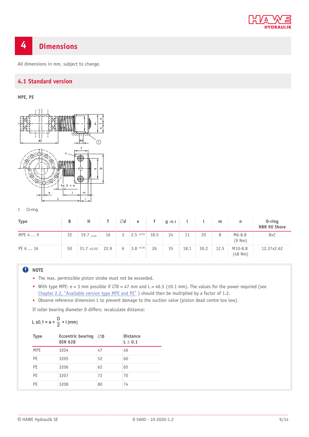

# <span id="page-8-0"></span>**4 Dimensions**

<span id="page-8-1"></span>All dimensions in mm, subject to change.

### **4.1 Standard version**

### **MPE, PE**



1 O-ring

| <b>Type</b> | В  | н               |      | Ød             | e            | f    | $g \pm 0.1$ |      |      | m    | n                       | $0$ -ring<br>NBR 90 Shore |
|-------------|----|-----------------|------|----------------|--------------|------|-------------|------|------|------|-------------------------|---------------------------|
| MPE 4  9    | 32 | $19.7 - 0.04$   | 16   | $\overline{3}$ | $2.5 + 0.05$ | 18.5 | 24          | 11   | 20   | 8    | $M6 - 8.8$<br>(9 Nm)    | 8x2                       |
| PE 6  16    | 50 | $31.7 \pm 0.02$ | 22.9 | 6              | $3.8 + 0.05$ | 26   | 35          | 18.1 | 30.2 | 12.5 | M10-8.8<br>$(48$ Nm $)$ | 12.37x2.62                |

### **O** NOTE

- The max. permissible piston stroke must not be exceeded.
- With type MPE: e = 3 mm possible if  $\emptyset D = 47$  mm and L = 46.5 (±0.1 mm). The values for the power required (see [Chapter 2.2,](#page-4-2) "Available version type MPE and PE") should then be multiplied by a factor of 1.2.
- Observe reference dimension L to prevent damage to the suction valve (piston dead centre too low).

If roller bearing diameter D differs: recalculate distance:

$$
L \pm 0, 1 = e + \frac{D}{2} + I (mm)
$$

| <b>Type</b> | <b>Eccentric bearing</b><br><b>DIN 628</b> | ØD | <b>Distance</b><br>$L \pm 0.1$ |
|-------------|--------------------------------------------|----|--------------------------------|
| <b>MPE</b>  | 3204                                       | 47 | 46                             |
| PE          | 3205                                       | 52 | 60                             |
| PE          | 3206                                       | 62 | 65                             |
| PE          | 3207                                       | 72 | 70                             |
| PE          | 3208                                       | 80 | 74                             |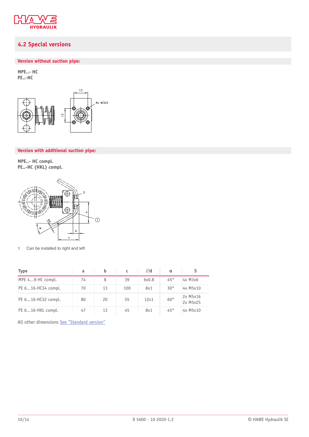

### <span id="page-9-0"></span>**4.2 Special versions**

### **Version without suction pipe:**

**MPE..- HC PE..-HC**



#### **Version with additional suction pipe:**

**MPE..- HC compl. PE..-HC (HKL) compl.**



1 Can be installed to right and left

| Type               | a  | b  | c   | $\varnothing$ d | $\alpha$     |                      |
|--------------------|----|----|-----|-----------------|--------------|----------------------|
| MPE 49-HC compl.   | 74 | 8  | 39  | 6x0.8           | 45°          | $4x$ M $3x6$         |
| PE 616-HC34 compl. | 70 | 13 | 100 | 8x1             | $30^{\circ}$ | 4x M5x10             |
| PE 616-HC32 compl. | 80 | 20 | 55  | 12x1            | $60^\circ$   | 2x M5x16<br>2x M5x25 |
| PE 616-HKL compl.  | 47 | 13 | 45  | 8x1             | 45°          | 4x M5x10             |

All other dimensions See ["Standard](#page-8-1) version"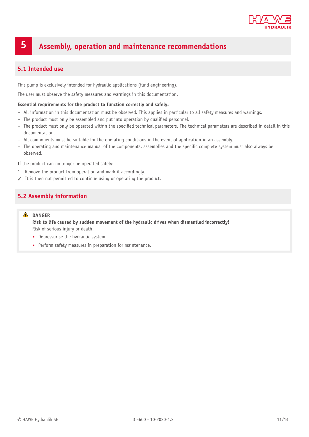

# <span id="page-10-0"></span>**5 Assembly, operation and maintenance recommendations**

### <span id="page-10-1"></span>**5.1 Intended use**

This pump is exclusively intended for hydraulic applications (fluid engineering).

The user must observe the safety measures and warnings in this documentation.

#### **Essential requirements for the product to function correctly and safely:**

- All information in this documentation must be observed. This applies in particular to all safety measures and warnings.
- The product must only be assembled and put into operation by qualified personnel.
- The product must only be operated within the specified technical parameters. The technical parameters are described in detail in this documentation.
- All components must be suitable for the operating conditions in the event of application in an assembly.
- The operating and maintenance manual of the components, assemblies and the specific complete system must also always be observed.

If the product can no longer be operated safely:

- 1. Remove the product from operation and mark it accordingly.
- <span id="page-10-2"></span>✓ It is then not permitted to continue using or operating the product.

### **5.2 Assembly information**

#### **DANGER**

**Risk to life caused by sudden movement of the hydraulic drives when dismantled incorrectly!** Risk of serious injury or death.

- Depressurise the hydraulic system.
- Perform safety measures in preparation for maintenance.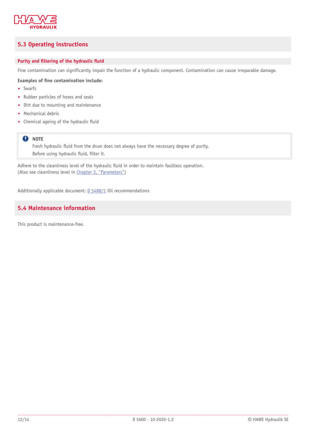

### <span id="page-11-0"></span>**5.3 Operating instructions**

#### **Purity** and **filtering** of the hydraulic fluid

Fine contamination can significantly impair the function of a hydraulic component. Contamination can cause irreparable damage.

#### **Examples of 'ne contamination include:**

- Swarfs
- Rubber particles of hoses and seals
- Dirt due to mounting and maintenance
- Mechanical debris
- Chemical ageing of the hydraulic fluid

#### **Q** NOTE

Fresh hydraulic fluid from the drum does not always have the necessary degree of purity. Before using hydraulic fluid, filter it.

Adhere to the cleanliness level of the hydraulic fluid in order to maintain faultless operation. (Also see cleanliness level in Chapter 3, ["Parameters"](#page-7-0))

<span id="page-11-1"></span>Additionally applicable document: [D 5488/1](http://downloads.hawe.com/5/4/D54881-en.pdf) Oil recommendations

### **5.4 Maintenance information**

This product is maintenance-free.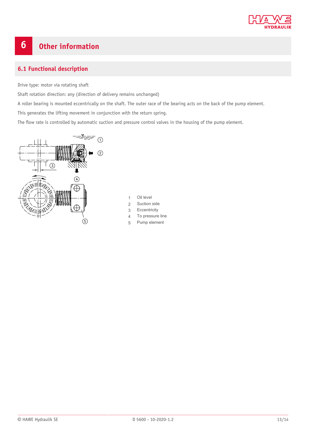

# <span id="page-12-0"></span>**6 Other information**

### <span id="page-12-1"></span>**6.1 Functional description**

Drive type: motor via rotating shaft

Shaft rotation direction: any (direction of delivery remains unchanged)

A roller bearing is mounted eccentrically on the shaft. The outer race of the bearing acts on the back of the pump element.

This generates the lifting movement in conjunction with the return spring.

The flow rate is controlled by automatic suction and pressure control valves in the housing of the pump element.



- 1 Oil level
- 2 Suction side
- 3 Eccentricity
- 4 To pressure line
- 5 Pump element